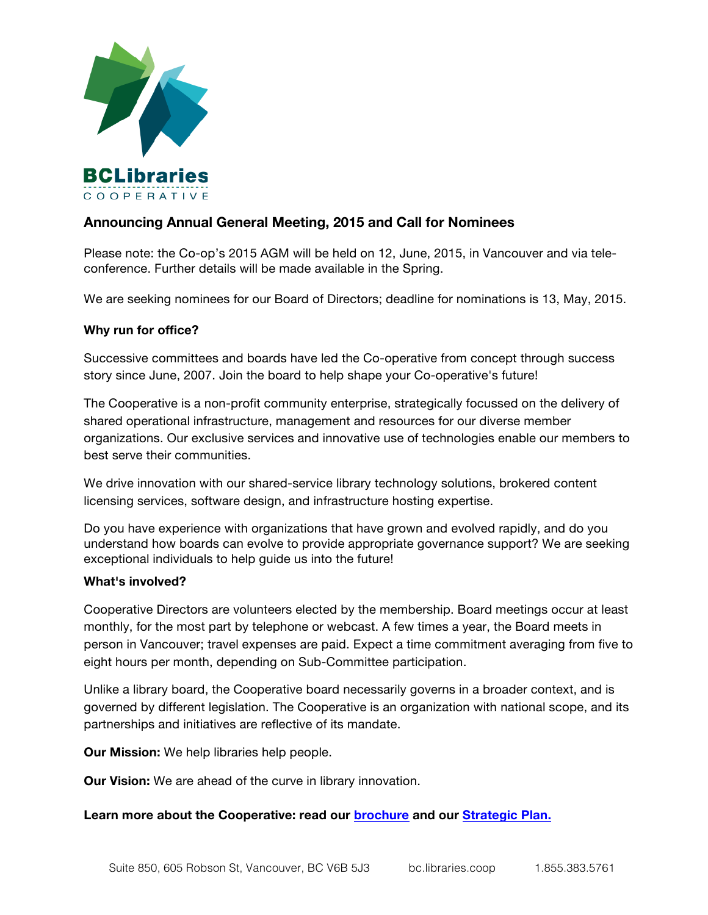

# **Announcing Annual General Meeting, 2015 and Call for Nominees**

Please note: the Co-op's 2015 AGM will be held on 12, June, 2015, in Vancouver and via teleconference. Further details will be made available in the Spring.

We are seeking nominees for our Board of Directors; deadline for nominations is 13, May, 2015.

# **Why run for office?**

Successive committees and boards have led the Co-operative from concept through success story since June, 2007. Join the board to help shape your Co-operative's future!

The Cooperative is a non-profit community enterprise, strategically focussed on the delivery of shared operational infrastructure, management and resources for our diverse member organizations. Our exclusive services and innovative use of technologies enable our members to best serve their communities.

We drive innovation with our shared-service library technology solutions, brokered content licensing services, software design, and infrastructure hosting expertise.

Do you have experience with organizations that have grown and evolved rapidly, and do you understand how boards can evolve to provide appropriate governance support? We are seeking exceptional individuals to help guide us into the future!

#### **What's involved?**

Cooperative Directors are volunteers elected by the membership. Board meetings occur at least monthly, for the most part by telephone or webcast. A few times a year, the Board meets in person in Vancouver; travel expenses are paid. Expect a time commitment averaging from five to eight hours per month, depending on Sub-Committee participation.

Unlike a library board, the Cooperative board necessarily governs in a broader context, and is governed by different legislation. The Cooperative is an organization with national scope, and its partnerships and initiatives are reflective of its mandate.

**Our Mission:** We help libraries help people.

**Our Vision:** We are ahead of the curve in library innovation.

#### **Learn more about the Cooperative: read our [brochure](https://bc.libraries.coop/wp-content/uploads/2012/04/Coop_5x4_brochure_web2.pdf) and our [Strategic Plan.](http://bc.libraries.coop/wp-content/uploads/2012/04/StrategicPlan2013-05-31.pdf)**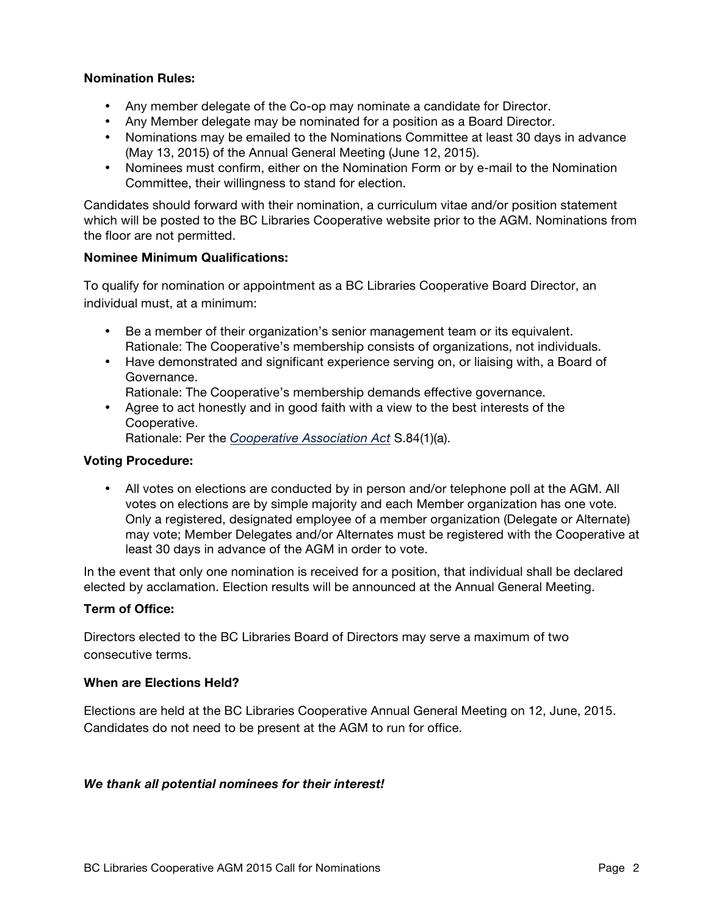# **Nomination Rules:**

- Any member delegate of the Co-op may nominate a candidate for Director.
- Any Member delegate may be nominated for a position as a Board Director.
- Nominations may be emailed to the Nominations Committee at least 30 days in advance (May 13, 2015) of the Annual General Meeting (June 12, 2015).
- Nominees must confirm, either on the Nomination Form or by e-mail to the Nomination Committee, their willingness to stand for election.

Candidates should forward with their nomination, a curriculum vitae and/or position statement which will be posted to the BC Libraries Cooperative website prior to the AGM. Nominations from the floor are not permitted.

# **Nominee Minimum Qualifications:**

To qualify for nomination or appointment as a BC Libraries Cooperative Board Director, an individual must, at a minimum:

- Be a member of their organization's senior management team or its equivalent. Rationale: The Cooperative's membership consists of organizations, not individuals.
- Have demonstrated and significant experience serving on, or liaising with, a Board of Governance.
	- Rationale: The Cooperative's membership demands effective governance.
- Agree to act honestly and in good faith with a view to the best interests of the Cooperative.

Rationale: Per the *[Cooperative Association Act](http://www.bclaws.ca/civix/document/id/complete/statreg/99028_01)* S.84(1)(a).

## **Voting Procedure:**

• All votes on elections are conducted by in person and/or telephone poll at the AGM. All votes on elections are by simple majority and each Member organization has one vote. Only a registered, designated employee of a member organization (Delegate or Alternate) may vote; Member Delegates and/or Alternates must be registered with the Cooperative at least 30 days in advance of the AGM in order to vote.

In the event that only one nomination is received for a position, that individual shall be declared elected by acclamation. Election results will be announced at the Annual General Meeting.

# **Term of Office:**

Directors elected to the BC Libraries Board of Directors may serve a maximum of two consecutive terms.

#### **When are Elections Held?**

Elections are held at the BC Libraries Cooperative Annual General Meeting on 12, June, 2015. Candidates do not need to be present at the AGM to run for office.

# *We thank all potential nominees for their interest!*